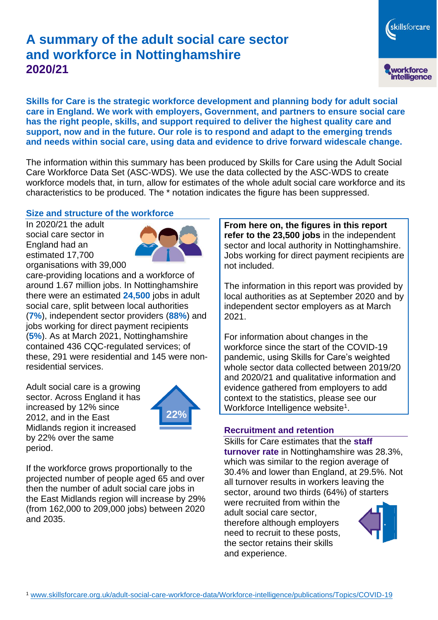# **A summary of the adult social care sector and workforce in Nottinghamshire 2020/21**

skillsforcare workforce<br>intelligence

**Skills for Care is the strategic workforce development and planning body for adult social care in England. We work with employers, Government, and partners to ensure social care has the right people, skills, and support required to deliver the highest quality care and support, now and in the future. Our role is to respond and adapt to the emerging trends and needs within social care, using data and evidence to drive forward widescale change.**

The information within this summary has been produced by Skills for Care using the Adult Social Care Workforce Data Set (ASC-WDS). We use the data collected by the ASC-WDS to create workforce models that, in turn, allow for estimates of the whole adult social care workforce and its characteristics to be produced. The \* notation indicates the figure has been suppressed.

#### **Size and structure of the workforce**

In 2020/21 the adult social care sector in England had an estimated 17,700 organisations with 39,000



care-providing locations and a workforce of around 1.67 million jobs. In Nottinghamshire there were an estimated **24,500** jobs in adult social care, split between local authorities (**7%**), independent sector providers (**88%**) and jobs working for direct payment recipients (**5%**). As at March 2021, Nottinghamshire contained 436 CQC-regulated services; of these, 291 were residential and 145 were nonresidential services.

Adult social care is a growing sector. Across England it has increased by 12% since 2012, and in the East Midlands region it increased by 22% over the same period.



If the workforce grows proportionally to the projected number of people aged 65 and over then the number of adult social care jobs in the East Midlands region will increase by 29% (from 162,000 to 209,000 jobs) between 2020 and 2035.

**From here on, the figures in this report refer to the 23,500 jobs** in the independent sector and local authority in Nottinghamshire. Jobs working for direct payment recipients are not included.

The information in this report was provided by local authorities as at September 2020 and by independent sector employers as at March 2021.

For information about changes in the workforce since the start of the COVID-19 pandemic, using Skills for Care's weighted whole sector data collected between 2019/20 and 2020/21 and qualitative information and evidence gathered from employers to add context to the statistics, please see our Workforce Intelligence website<sup>1</sup>.

#### **Recruitment and retention**

Skills for Care estimates that the **staff turnover rate** in Nottinghamshire was 28.3%, which was similar to the region average of 30.4% and lower than England, at 29.5%. Not all turnover results in workers leaving the sector, around two thirds (64%) of starters were recruited from within the

adult social care sector, therefore although employers need to recruit to these posts, the sector retains their skills and experience.

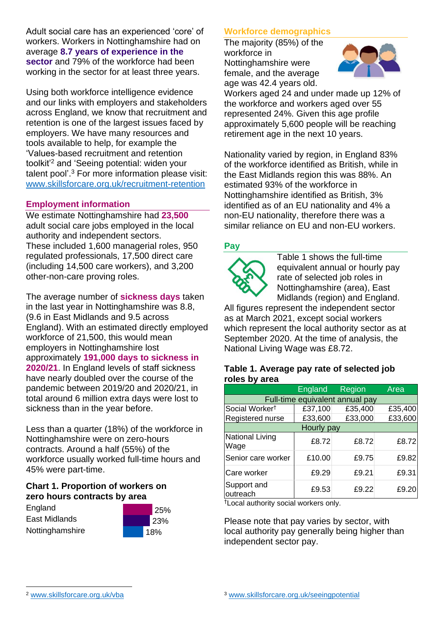Adult social care has an experienced 'core' of workers. Workers in Nottinghamshire had on average **8.7 years of experience in the sector** and 79% of the workforce had been working in the sector for at least three years.

Using both workforce intelligence evidence and our links with employers and stakeholders across England, we know that recruitment and retention is one of the largest issues faced by employers. We have many resources and tools available to help, for example the 'Values-based recruitment and retention toolkit'<sup>2</sup> and 'Seeing potential: widen your talent pool'. <sup>3</sup> For more information please visit: [www.skillsforcare.org.uk/recruitment-retention](http://www.skillsforcare.org.uk/recruitment-retention)

### **Employment information**

We estimate Nottinghamshire had **23,500** adult social care jobs employed in the local authority and independent sectors. These included 1,600 managerial roles, 950 regulated professionals, 17,500 direct care (including 14,500 care workers), and 3,200 other-non-care proving roles.

The average number of **sickness days** taken in the last year in Nottinghamshire was 8.8, (9.6 in East Midlands and 9.5 across England). With an estimated directly employed workforce of 21,500, this would mean employers in Nottinghamshire lost approximately **191,000 days to sickness in 2020/21**. In England levels of staff sickness have nearly doubled over the course of the pandemic between 2019/20 and 2020/21, in total around 6 million extra days were lost to sickness than in the year before.

Less than a quarter (18%) of the workforce in Nottinghamshire were on zero-hours contracts. Around a half (55%) of the workforce usually worked full-time hours and 45% were part-time.

#### **Chart 1. Proportion of workers on zero hours contracts by area**

**England** East Midlands **Nottinghamshire** 



### **Workforce demographics**

The majority (85%) of the workforce in Nottinghamshire were female, and the average age was 42.4 years old.



Workers aged 24 and under made up 12% of the workforce and workers aged over 55 represented 24%. Given this age profile approximately 5,600 people will be reaching retirement age in the next 10 years.

Nationality varied by region, in England 83% of the workforce identified as British, while in the East Midlands region this was 88%. An estimated 93% of the workforce in Nottinghamshire identified as British, 3% identified as of an EU nationality and 4% a non-EU nationality, therefore there was a similar reliance on EU and non-EU workers.

### **Pay**



Table 1 shows the full-time equivalent annual or hourly pay rate of selected job roles in Nottinghamshire (area), East Midlands (region) and England.

All figures represent the independent sector as at March 2021, except social workers which represent the local authority sector as at September 2020. At the time of analysis, the National Living Wage was £8.72.

#### **Table 1. Average pay rate of selected job roles by area**

|                                 | <b>England</b> | Region  | Area    |
|---------------------------------|----------------|---------|---------|
| Full-time equivalent annual pay |                |         |         |
| Social Worker <sup>t</sup>      | £37,100        | £35,400 | £35,400 |
| Registered nurse                | £33,600        | £33,000 | £33,600 |
| Hourly pay                      |                |         |         |
| National Living<br>Wage         | £8.72          | £8.72   | £8.72   |
| Senior care worker              | £10.00         | £9.75   | £9.82   |
| Care worker                     | £9.29          | £9.21   | £9.31   |
| Support and<br>outreach         | £9.53          | £9.22   | £9.20   |

†Local authority social workers only.

Please note that pay varies by sector, with local authority pay generally being higher than independent sector pay.

[www.skillsforcare.org.uk/vba](http://www.skillsforcare.org.uk/vba)